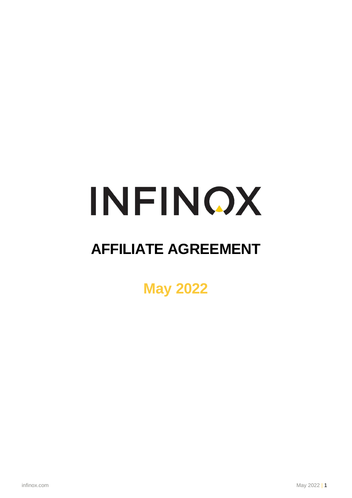# INFINOX

## **AFFILIATE AGREEMENT**

**May 2022**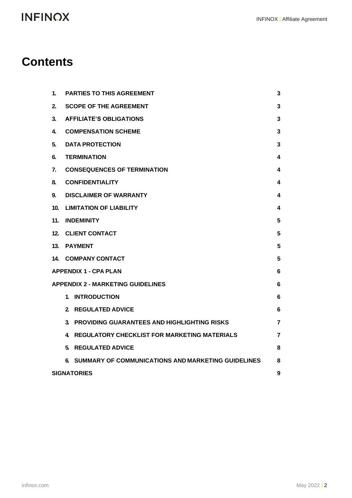### **INFINOX**

### **Contents**

| 1.                                            | <b>PARTIES TO THIS AGREEMENT</b>                         | 3              |  |
|-----------------------------------------------|----------------------------------------------------------|----------------|--|
| 2.                                            | <b>SCOPE OF THE AGREEMENT</b>                            | 3              |  |
| 3.                                            | <b>AFFILIATE'S OBLIGATIONS</b>                           | 3              |  |
| 4.                                            | <b>COMPENSATION SCHEME</b>                               | 3              |  |
| 5.                                            | <b>DATA PROTECTION</b>                                   |                |  |
| 6.                                            | <b>TERMINATION</b>                                       |                |  |
| 7.                                            | <b>CONSEQUENCES OF TERMINATION</b>                       |                |  |
| 8.                                            | <b>CONFIDENTIALITY</b>                                   |                |  |
| 9.                                            | <b>DISCLAIMER OF WARRANTY</b>                            |                |  |
| 10.                                           | <b>LIMITATION OF LIABILITY</b>                           |                |  |
| 11.                                           | <b>INDEMINITY</b>                                        |                |  |
| 12.                                           | <b>CLIENT CONTACT</b>                                    |                |  |
| 13.                                           | <b>PAYMENT</b>                                           |                |  |
| 14.                                           | <b>COMPANY CONTACT</b>                                   |                |  |
| <b>APPENDIX 1 - CPA PLAN</b>                  |                                                          |                |  |
| <b>APPENDIX 2 - MARKETING GUIDELINES</b><br>6 |                                                          |                |  |
|                                               | <b>INTRODUCTION</b><br>1.                                | 6              |  |
|                                               | $\mathbf{2}$<br><b>REGULATED ADVICE</b>                  | 6              |  |
|                                               | 3.<br><b>PROVIDING GUARANTEES AND HIGHLIGHTING RISKS</b> | $\overline{7}$ |  |
|                                               | <b>REGULATORY CHECKLIST FOR MARKETING MATERIALS</b><br>4 | $\overline{7}$ |  |
|                                               | <b>REGULATED ADVICE</b><br>5.                            | 8              |  |
|                                               | SUMMARY OF COMMUNICATIONS AND MARKETING GUIDELINES<br>6. | 8              |  |
| <b>SIGNATORIES</b>                            |                                                          |                |  |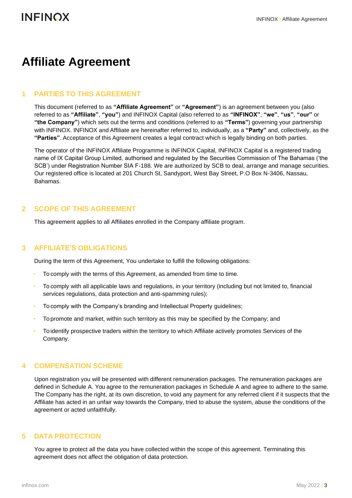### **Affiliate Agreement**

### <span id="page-2-0"></span>**1 PARTIES TO THIS AGREEMENT**

This document (referred to as **"Affiliate Agreement"** or **"Agreement"**) is an agreement between you (also referred to as **"Affiliate"**, **"you"**) and INFINOX Capital (also referred to as **"INFINOX"**, **"we"**, **"us"**, **"our"** or **"the Company"**) which sets out the terms and conditions (referred to as **"Terms"**) governing your partnership with INFINOX. INFINOX and Affiliate are hereinafter referred to, individually, as a **"Party"** and, collectively, as the **"Parties"**. Acceptance of this Agreement creates a legal contract which is legally binding on both parties.

The operator of the INFINOX Affiliate Programme is INFINOX Capital, INFINOX Capital is a registered trading name of IX Capital Group Limited, authorised and regulated by the Securities Commission of The Bahamas ('the SCB') under Registration Number SIA F-188. We are authorized by SCB to deal, arrange and manage securities. Our registered office is located at 201 Church St, Sandyport, West Bay Street, P.O Box N-3406, Nassau, Bahamas.

### **2 SCOPE OF THIS AGREEMENT**

This agreement applies to all Affiliates enrolled in the Company affiliate program.

### <span id="page-2-1"></span>**3 AFFILIATE'S OBLIGATIONS**

During the term of this Agreement, You undertake to fulfill the following obligations:

- To comply with the terms of this Agreement, as amended from time to time.
- To comply with all applicable laws and regulations, in your territory (including but not limited to, financial services regulations, data protection and anti-spamming rules);
- To comply with the Company's branding and Intellectual Property guidelines;
- To promote and market, within such territory as this may be specified by the Company; and
- To identify prospective traders within the territory to which Affiliate actively promotes Services of the Company.

### <span id="page-2-2"></span>**4 COMPENSATION SCHEME**

Upon registration you will be presented with different remuneration packages. The remuneration packages are defined in Schedule A. You agree to the remuneration packages in Schedule A and agree to adhere to the same. The Company has the right, at its own discretion, to void any payment for any referred client if it suspects that the Affiliate has acted in an unfair way towards the Company, tried to abuse the system, abuse the conditions of the agreement or acted unfaithfully.

### <span id="page-2-3"></span>**5 DATA PROTECTION**

You agree to protect all the data you have collected within the scope of this agreement. Terminating this agreement does not affect the obligation of data protection.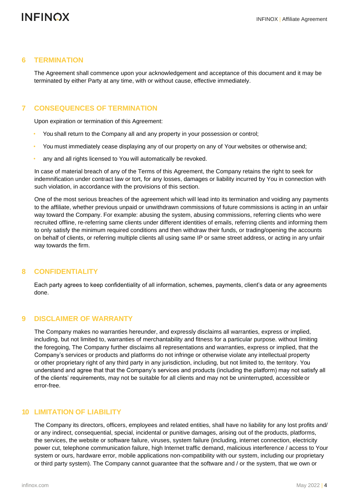### <span id="page-3-0"></span>**6 TERMINATION**

The Agreement shall commence upon your acknowledgement and acceptance of this document and it may be terminated by either Party at any time, with or without cause, effective immediately.

### <span id="page-3-1"></span>**7 CONSEQUENCES OF TERMINATION**

Upon expiration or termination of this Agreement:

- You shall return to the Company all and any property in your possession or control;
- You must immediately cease displaying any of our property on any of Your websites or otherwise and;
- any and all rights licensed to You will automatically be revoked.

In case of material breach of any of the Terms of this Agreement, the Company retains the right to seek for indemnification under contract law or tort, for any losses, damages or liability incurred by You in connection with such violation, in accordance with the provisions of this section.

One of the most serious breaches of the agreement which will lead into its termination and voiding any payments to the affiliate, whether previous unpaid or unwithdrawn commissions of future commissions is acting in an unfair way toward the Company. For example: abusing the system, abusing commissions, referring clients who were recruited offline, re-referring same clients under different identities of emails, referring clients and informing them to only satisfy the minimum required conditions and then withdraw their funds, or trading/opening the accounts on behalf of clients, or referring multiple clients all using same IP or same street address, or acting in any unfair way towards the firm.

### <span id="page-3-2"></span>**8 CONFIDENTIALITY**

Each party agrees to keep confidentiality of all information, schemes, payments, client's data or any agreements done.

### <span id="page-3-3"></span>**9 DISCLAIMER OF WARRANTY**

The Company makes no warranties hereunder, and expressly disclaims all warranties, express or implied, including, but not limited to, warranties of merchantability and fitness for a particular purpose. without limiting the foregoing, The Company further disclaims all representations and warranties, express or implied, that the Company's services or products and platforms do not infringe or otherwise violate any intellectual property or other proprietary right of any third party in any jurisdiction, including, but not limited to, the territory. You understand and agree that that the Company's services and products (including the platform) may not satisfy all of the clients' requirements, may not be suitable for all clients and may not be uninterrupted, accessibleor error-free.

### <span id="page-3-4"></span>**10 LIMITATION OF LIABILITY**

The Company its directors, officers, employees and related entities, shall have no liability for any lost profits and/ or any indirect, consequential, special, incidental or punitive damages, arising out of the products, platforms, the services, the website or software failure, viruses, system failure (including, internet connection, electricity power cut, telephone communication failure, high Internet traffic demand, malicious interference / access to Your system or ours, hardware error, mobile applications non-compatibility with our system, including our proprietary or third party system). The Company cannot guarantee that the software and / or the system, that we own or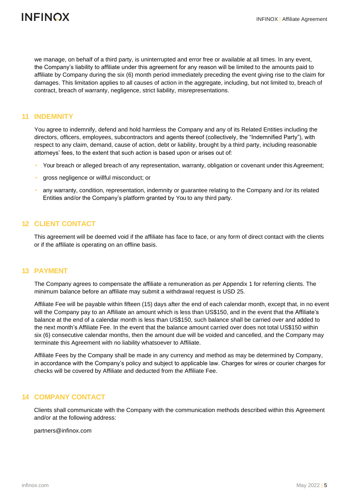

we manage, on behalf of a third party, is uninterrupted and error free or available at all times. In any event, the Company's liability to affiliate under this agreement for any reason will be limited to the amounts paid to affiliate by Company during the six (6) month period immediately preceding the event giving rise to the claim for damages. This limitation applies to all causes of action in the aggregate, including, but not limited to, breach of contract, breach of warranty, negligence, strict liability, misrepresentations.

### **11 INDEMNITY**

You agree to indemnify, defend and hold harmless the Company and any of its Related Entities including the directors, officers, employees, subcontractors and agents thereof (collectively, the "Indemnified Party"), with respect to any claim, demand, cause of action, debt or liability, brought by a third party, including reasonable attorneys' fees, to the extent that such action is based upon or arises out of:

- Your breach or alleged breach of any representation, warranty, obligation or covenant under this Agreement;
- gross negligence or willful misconduct; or
- any warranty, condition, representation, indemnity or guarantee relating to the Company and /or its related Entities and/or the Company's platform granted by You to any third party.

### <span id="page-4-0"></span>**12 CLIENT CONTACT**

This agreement will be deemed void if the affiliate has face to face, or any form of direct contact with the clients or if the affiliate is operating on an offline basis.

### <span id="page-4-1"></span>**13 PAYMENT**

The Company agrees to compensate the affiliate a remuneration as per Appendix 1 for referring clients. The minimum balance before an affiliate may submit a withdrawal request is USD 25.

Affiliate Fee will be payable within fifteen (15) days after the end of each calendar month, except that, in no event will the Company pay to an Affiliate an amount which is less than US\$150, and in the event that the Affiliate's balance at the end of a calendar month is less than US\$150, such balance shall be carried over and added to the next month's Affiliate Fee. In the event that the balance amount carried over does not total US\$150 within six (6) consecutive calendar months, then the amount due will be voided and cancelled, and the Company may terminate this Agreement with no liability whatsoever to Affiliate.

Affiliate Fees by the Company shall be made in any currency and method as may be determined by Company, in accordance with the Company's policy and subject to applicable law. Charges for wires or courier charges for checks will be covered by Affiliate and deducted from the Affiliate Fee.

#### <span id="page-4-2"></span>**14 COMPANY CONTACT**

Clients shall communicate with the Company with the communication methods described within this Agreement and/or at the following address:

[partners@infinox.com](mailto:partners@infinox.com)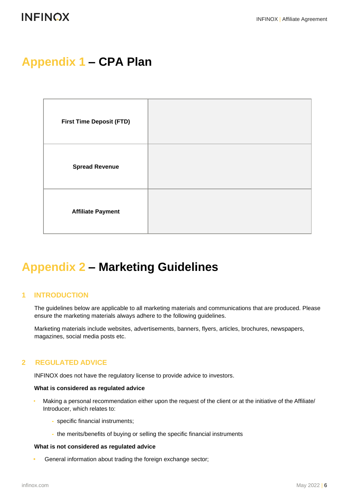### <span id="page-5-0"></span>**Appendix 1 – CPA Plan**

| <b>First Time Deposit (FTD)</b> |  |
|---------------------------------|--|
| <b>Spread Revenue</b>           |  |
| <b>Affiliate Payment</b>        |  |

### <span id="page-5-1"></span>**Appendix 2 – Marketing Guidelines**

### <span id="page-5-2"></span>**1 INTRODUCTION**

The guidelines below are applicable to all marketing materials and communications that are produced. Please ensure the marketing materials always adhere to the following guidelines.

Marketing materials include websites, advertisements, banners, flyers, articles, brochures, newspapers, magazines, social media posts etc.

### <span id="page-5-3"></span>**2 REGULATED ADVICE**

INFINOX does not have the regulatory license to provide advice to investors.

#### **What is considered as regulated advice**

- Making a personal recommendation either upon the request of the client or at the initiative of the Affiliate/ Introducer, which relates to:
	- **-** specific financial instruments;
	- **-** the merits/benefits of buying or selling the specific financial instruments

#### **What is not considered as regulated advice**

**•** General information about trading the foreign exchange sector;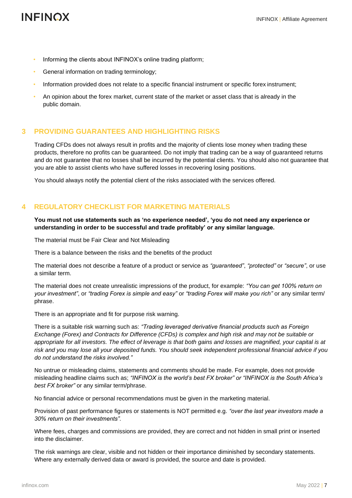- Informing the clients about INFINOX's online trading platform;
- General information on trading terminology;
- Information provided does not relate to a specific financial instrument or specific forex instrument;
- An opinion about the forex market, current state of the market or asset class that is already in the public domain.

### <span id="page-6-0"></span>**3 PROVIDING GUARANTEES AND HIGHLIGHTING RISKS**

Trading CFDs does not always result in profits and the majority of clients lose money when trading these products, therefore no profits can be guaranteed. Do not imply that trading can be a way of guaranteed returns and do not guarantee that no losses shall be incurred by the potential clients. You should also not guarantee that you are able to assist clients who have suffered losses in recovering losing positions.

You should always notify the potential client of the risks associated with the services offered.

### <span id="page-6-1"></span>**4 REGULATORY CHECKLIST FOR MARKETING MATERIALS**

**You must not use statements such as 'no experience needed', 'you do not need any experience or understanding in order to be successful and trade profitably' or any similar language.**

The material must be Fair Clear and Not Misleading

There is a balance between the risks and the benefits of the product

The material does not describe a feature of a product or service as *"guaranteed"*, *"protected"* or *"secure"*, or use a similar term.

The material does not create unrealistic impressions of the product, for example: *"You can get 100% return on your investment"*, or *"trading Forex is simple and easy"* or *"trading Forex will make you rich"* or any similar term/ phrase.

There is an appropriate and fit for purpose risk warning.

There is a suitable risk warning such as: *"Trading leveraged derivative financial products such as Foreign Exchange (Forex) and Contracts for Difference (CFDs) is complex and high risk and may not be suitable or appropriate for all investors. The effect of leverage is that both gains and losses are magnified, your capital is at risk and you may lose all your deposited funds. You should seek independent professional financial advice if you do not understand the risks involved."*

No untrue or misleading claims, statements and comments should be made. For example, does not provide misleading headline claims such as; *"INFINOX is the world's best FX broker" or "INFINOX is the South Africa's best FX broker"* or any similar term/phrase.

No financial advice or personal recommendations must be given in the marketing material.

Provision of past performance figures or statements is NOT permitted e.g. *"over the last year investors made a 30% return on their investments".*

Where fees, charges and commissions are provided, they are correct and not hidden in small print or inserted into the disclaimer.

The risk warnings are clear, visible and not hidden or their importance diminished by secondary statements. Where any externally derived data or award is provided, the source and date is provided.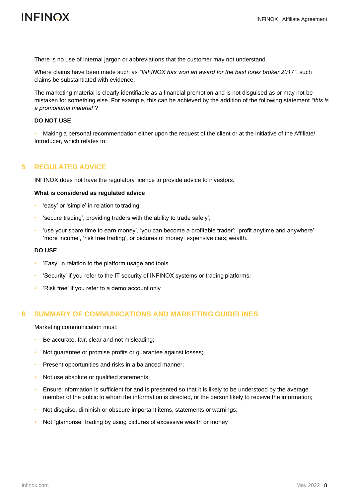### **INFINOX**

There is no use of internal jargon or abbreviations that the customer may not understand.

Where claims have been made such as *"INFINOX has won an award for the best forex broker 2017"*, such claims be substantiated with evidence.

The marketing material is clearly identifiable as a financial promotion and is not disguised as or may not be mistaken for something else. For example, this can be achieved by the addition of the following statement *"this is a promotional material"*?

#### **DO NOT USE**

• Making a personal recommendation either upon the request of the client or at the initiative of the Affiliate/ Introducer, which relates to:

### <span id="page-7-0"></span>**5 REGULATED ADVICE**

INFINOX does not have the regulatory licence to provide advice to investors.

#### **What is considered as regulated advice**

- 'easy' or 'simple' in relation to trading;
- 'secure trading', providing traders with the ability to trade safely';
- 'use your spare time to earn money', 'you can become a profitable trader'; 'profit anytime and anywhere', 'more income', 'risk free trading', or pictures of money; expensive cars; wealth.

#### **DO USE**

- 'Easy' in relation to the platform usage and tools
- 'Security' if you refer to the IT security of INFINOX systems or trading platforms;
- 'Risk free' if you refer to a demo account only

### <span id="page-7-1"></span>**6 SUMMARY OF COMMUNICATIONS AND MARKETING GUIDELINES**

Marketing communication must:

- Be accurate, fair, clear and not misleading;
- Not guarantee or promise profits or guarantee against losses;
- Present opportunities and risks in a balanced manner;
- Not use absolute or qualified statements;
- Ensure information is sufficient for and is presented so that it is likely to be understood by the average member of the public to whom the information is directed, or the person likely to receive the information;
- Not disguise, diminish or obscure important items, statements or warnings;
- Not "glamorise" trading by using pictures of excessive wealth or money